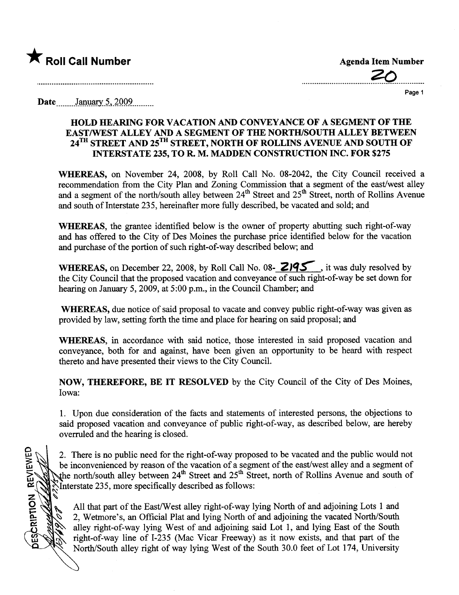

~

**DESCRIPTION REVIEWED** 

................................?:.............

Page 1

Date January 5, 2009

## HOLD HEARING FOR VACATION AND CONVEYANCE OF A SEGMENT OF THE EASTIWST ALLEY AND A SEGMENT OF THE NORTH/SOUTH ALLEY BETWEEN 24<sup>TH</sup> STREET AND 25<sup>TH</sup> STREET, NORTH OF ROLLINS AVENUE AND SOUTH OF INTERSTATE 235, TO R. M. MADEN CONSTRUCTION INC. FOR \$275

WHEREAS, on November 24, 2008, by Roll Call No. 08-2042, the City Council received a recommendation from the City Plan and Zoning Commission that a segment of the east/west alley and a segment of the north/south alley between 24<sup>th</sup> Street and 25<sup>th</sup> Street, north of Rollins Avenue and south of Interstate 235, hereinafter more fully described, be vacated and sold; and

WHEREAS, the grantee identified below is the owner of property abutting such right-of-way and has offered to the City of Des Moines the purchase price identified below for the vacation and purchase of the portion of such right-of-way described below; and

WHEREAS, on December 22, 2008, by Roll Call No. 08- 2195, it was duly resolved by the City Council that the proposed vacation and conveyance of such right-of-way be set down for hearing on January 5, 2009, at 5:00 p.m., in the Council Chamber; and

WHEREAS, due notice of said proposal to vacate and convey public right-of-way was given as provided by law, setting forth the time and place for hearng on said proposal; and

WHEREAS, in accordance with said notice, those interested in said proposed vacation and conveyance, both for and against, have been given an opportunity to be heard with respect thereto and have presented their views to the City CounciL.

NOW, THEREFORE, BE IT RESOLVED by the City Council of the City of Des Moines, Iowa:

1. Upon due consideration of the facts and statements of interested persons, the objections to said proposed vacation and conveyance of public right-of-way, as described below, are hereby overruled and the hearing is closed.

2. There is no public need for the right-of-way proposed to be vacated and the public would not be inconvenienced by reason of the vacation of a segment of the east/west alley and a segment of the north/south alley between 24<sup>th</sup> Street and 25<sup>th</sup> Street, north of Rollins Avenue and south of Interstate 235, more specifically described as follows:

All that part of the East/West alley right-of-way lying North of and adjoining Lots 1 and 2, Wetmore's, an Official Plat and lying North of and adjoining the vacated North/South alley right-of-way lying West of and adjoining said Lot 1, and lying East of the South right-of-way line of I-235 (Mac Vicar Freeway) as it now exists, and that part of the North/South alley right of way lying West of the South 30.0 feet of Lot 174, University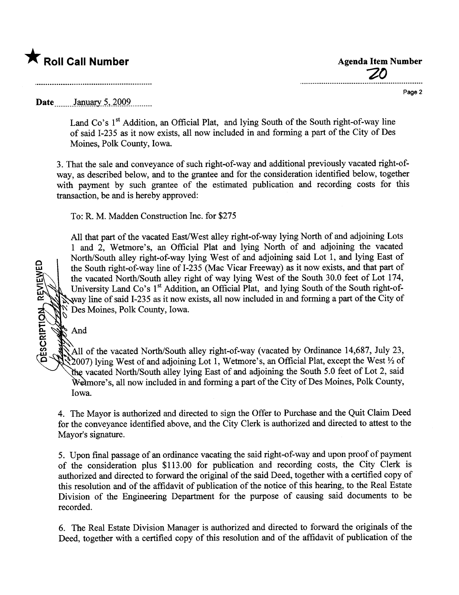## \* Roll Call Number Agenda Item Number

o w

And



Page 2

Date ...  $January 5, 2009$ ........

Land Co's  $1<sup>st</sup>$  Addition, an Official Plat, and lying South of the South right-of-way line of said 1-235 as it now exists, all now included in and forming a par of the City of Des Moines, Polk County, Iowa.

3. That the sale and conveyance of such right-of-way and additional previously vacated right-ofway, as described below, and to the grantee and for the consideration identified below, together with payment by such grantee of the estimated publication and recording costs for this transaction, be and is hereby approved:

To: R. M. Madden Construction Inc. for \$275

All that part of the vacated East/West alley right-of-way lying North of and adjoining Lots 1 and 2, Wetmore's, an Official Plat and lying North of and adjoining the vacated North/South alley right-of-way lying West of and adjoining said Lot 1, and lying East of the South right-of-way line of I-235 (Mac Vicar Freeway) as it now exists, and that part of the vacated North/South alley right of way lying West of the South 30.0 feet of Lot 174, University Land Co's 1<sup>st</sup> Addition, an Official Plat, and lying South of the South right-ofway line of said I-235 as it now exists, all now included in and forming a part of the City of ~ Des Moines, Polk County, Iowa.

All of the vacated North/South alley right-of-way (vacated by Ordinance 14,687, July 23,  $\Im$  2007) lying West of and adjoining Lot 1, Wetmore's, an Official Plat, except the West  $\frac{1}{2}$  of the vacated North/South alley lying East of and adjoining the South 5.0 feet of Lot 2, said We technore's, all now included in and forming a part of the City of Des Moines, Polk County, Iowa.

4. The Mayor is authorized and directed to sign the Offer to Purchase and the Quit Claim Deed for the conveyance identified above, and the City Clerk is authorized and directed to attest to the Mayor's signature.

5. Upon final passage of an ordinance vacating the said right-of-way and upon proof of payment of the consideration plus \$113.00 for publication and recording costs, the City Clerk is authorized and directed to forward the original of the said Deed, together with a certified copy of this resolution and of the affidavit of publication of the notice of this hearing, to the Real Estate Division of the Engineering Deparment for the purose of causing said documents to be recorded.

6. The Real Estate Division Manager is authorized and directed to forward the originals of the Deed, together with a certified copy of this resolution and of the affidavit of publication of the